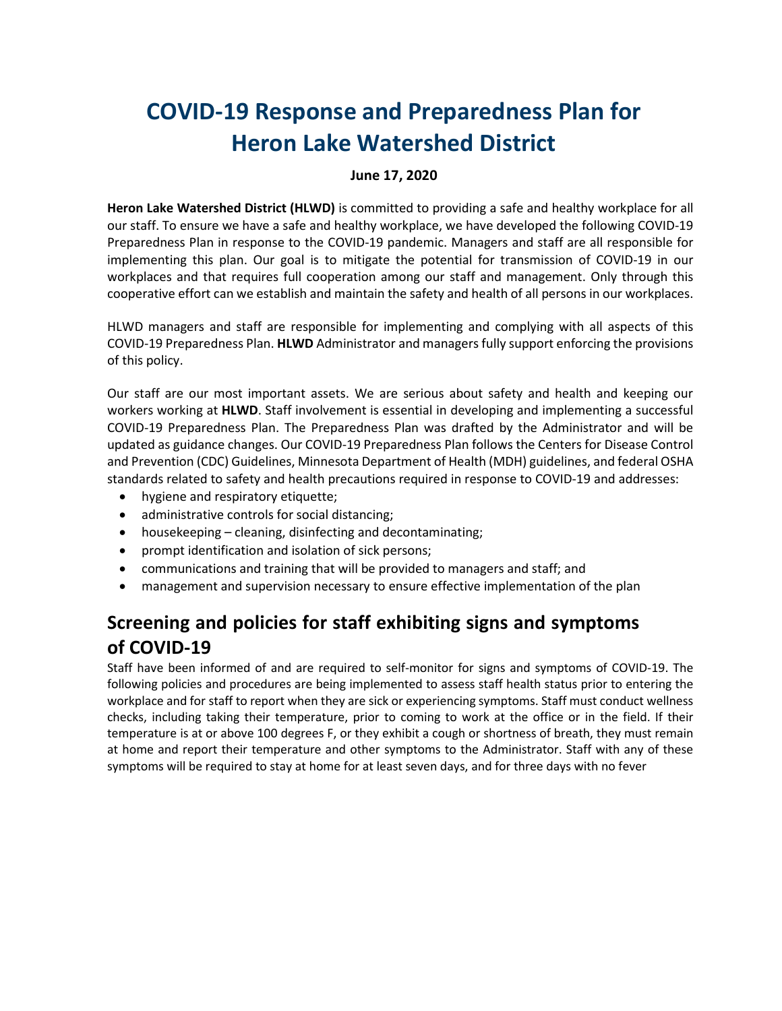# **COVID-19 Response and Preparedness Plan for Heron Lake Watershed District**

#### **June 17, 2020**

**Heron Lake Watershed District (HLWD)** is committed to providing a safe and healthy workplace for all our staff. To ensure we have a safe and healthy workplace, we have developed the following COVID-19 Preparedness Plan in response to the COVID-19 pandemic. Managers and staff are all responsible for implementing this plan. Our goal is to mitigate the potential for transmission of COVID-19 in our workplaces and that requires full cooperation among our staff and management. Only through this cooperative effort can we establish and maintain the safety and health of all persons in our workplaces.

HLWD managers and staff are responsible for implementing and complying with all aspects of this COVID-19 Preparedness Plan. **HLWD** Administrator and managers fully support enforcing the provisions of this policy.

Our staff are our most important assets. We are serious about safety and health and keeping our workers working at **HLWD**. Staff involvement is essential in developing and implementing a successful COVID-19 Preparedness Plan. The Preparedness Plan was drafted by the Administrator and will be updated as guidance changes. Our COVID-19 Preparedness Plan follows the Centers for Disease Control and Prevention (CDC) Guidelines, Minnesota Department of Health (MDH) guidelines, and federal OSHA standards related to safety and health precautions required in response to COVID-19 and addresses:

- hygiene and respiratory etiquette;
- administrative controls for social distancing;
- housekeeping cleaning, disinfecting and decontaminating;
- prompt identification and isolation of sick persons;
- communications and training that will be provided to managers and staff; and
- management and supervision necessary to ensure effective implementation of the plan

# **Screening and policies for staff exhibiting signs and symptoms of COVID-19**

Staff have been informed of and are required to self-monitor for signs and symptoms of COVID-19. The following policies and procedures are being implemented to assess staff health status prior to entering the workplace and for staff to report when they are sick or experiencing symptoms. Staff must conduct wellness checks, including taking their temperature, prior to coming to work at the office or in the field. If their temperature is at or above 100 degrees F, or they exhibit a cough or shortness of breath, they must remain at home and report their temperature and other symptoms to the Administrator. Staff with any of these symptoms will be required to stay at home for at least seven days, and for three days with no fever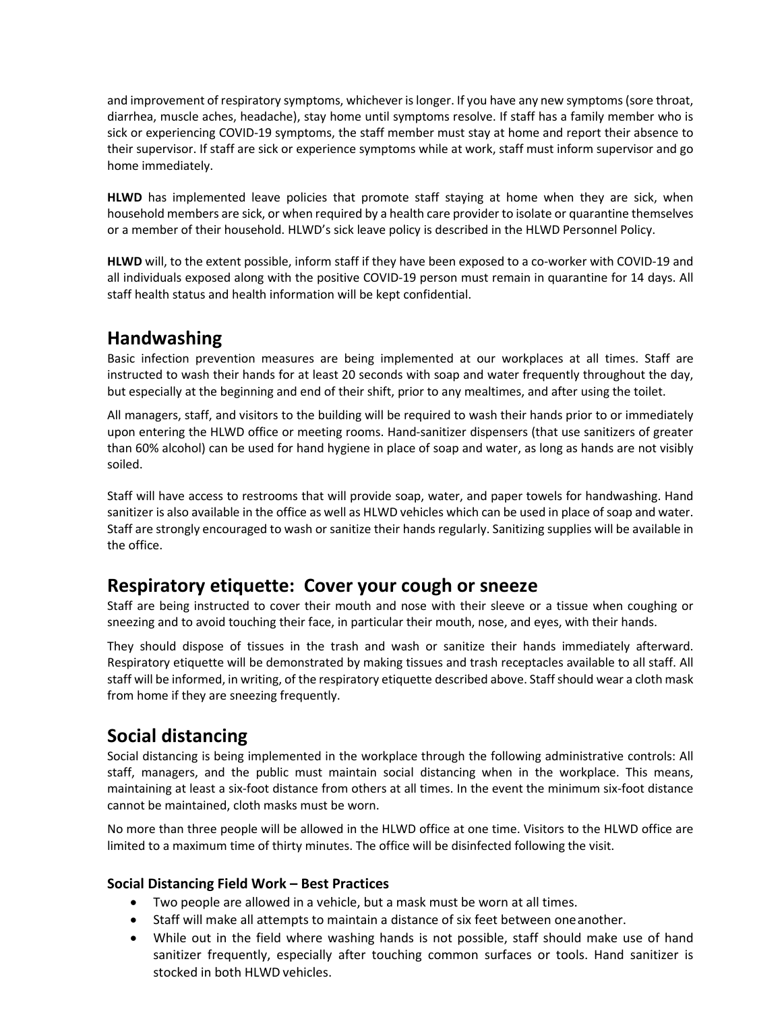and improvement of respiratory symptoms, whichever is longer. If you have any new symptoms (sore throat, diarrhea, muscle aches, headache), stay home until symptoms resolve. If staff has a family member who is sick or experiencing COVID-19 symptoms, the staff member must stay at home and report their absence to their supervisor. If staff are sick or experience symptoms while at work, staff must inform supervisor and go home immediately.

**HLWD** has implemented leave policies that promote staff staying at home when they are sick, when household members are sick, or when required by a health care provider to isolate or quarantine themselves or a member of their household. HLWD's sick leave policy is described in the HLWD Personnel Policy.

**HLWD** will, to the extent possible, inform staff if they have been exposed to a co-worker with COVID-19 and all individuals exposed along with the positive COVID-19 person must remain in quarantine for 14 days. All staff health status and health information will be kept confidential.

## **Handwashing**

Basic infection prevention measures are being implemented at our workplaces at all times. Staff are instructed to wash their hands for at least 20 seconds with soap and water frequently throughout the day, but especially at the beginning and end of their shift, prior to any mealtimes, and after using the toilet.

All managers, staff, and visitors to the building will be required to wash their hands prior to or immediately upon entering the HLWD office or meeting rooms. Hand-sanitizer dispensers (that use sanitizers of greater than 60% alcohol) can be used for hand hygiene in place of soap and water, as long as hands are not visibly soiled.

Staff will have access to restrooms that will provide soap, water, and paper towels for handwashing. Hand sanitizer is also available in the office as well as HLWD vehicles which can be used in place of soap and water. Staff are strongly encouraged to wash or sanitize their hands regularly. Sanitizing supplies will be available in the office.

#### **Respiratory etiquette: Cover your cough or sneeze**

Staff are being instructed to cover their mouth and nose with their sleeve or a tissue when coughing or sneezing and to avoid touching their face, in particular their mouth, nose, and eyes, with their hands.

They should dispose of tissues in the trash and wash or sanitize their hands immediately afterward. Respiratory etiquette will be demonstrated by making tissues and trash receptacles available to all staff. All staff will be informed, in writing, of the respiratory etiquette described above. Staff should wear a cloth mask from home if they are sneezing frequently.

## **Social distancing**

Social distancing is being implemented in the workplace through the following administrative controls: All staff, managers, and the public must maintain social distancing when in the workplace. This means, maintaining at least a six-foot distance from others at all times. In the event the minimum six-foot distance cannot be maintained, cloth masks must be worn.

No more than three people will be allowed in the HLWD office at one time. Visitors to the HLWD office are limited to a maximum time of thirty minutes. The office will be disinfected following the visit.

#### **Social Distancing Field Work – Best Practices**

- Two people are allowed in a vehicle, but a mask must be worn at all times.
- Staff will make all attempts to maintain a distance of six feet between oneanother.
- While out in the field where washing hands is not possible, staff should make use of hand sanitizer frequently, especially after touching common surfaces or tools. Hand sanitizer is stocked in both HLWD vehicles.